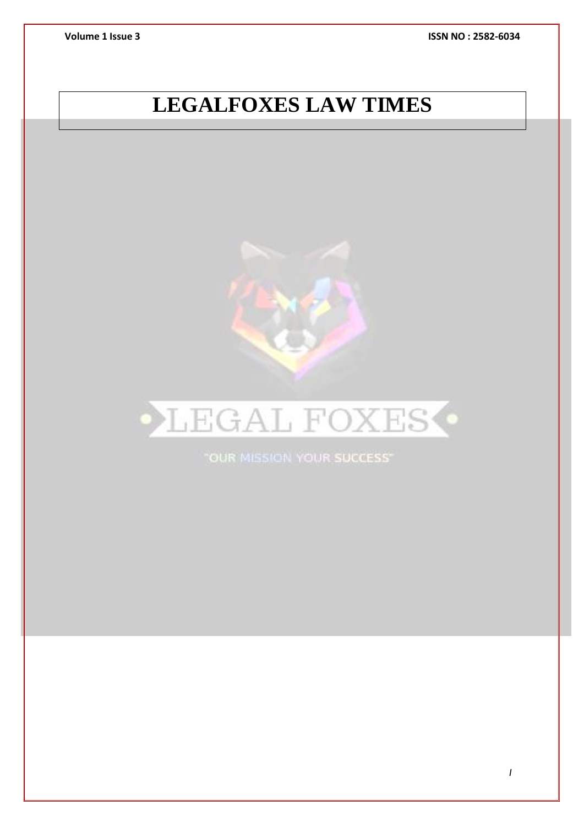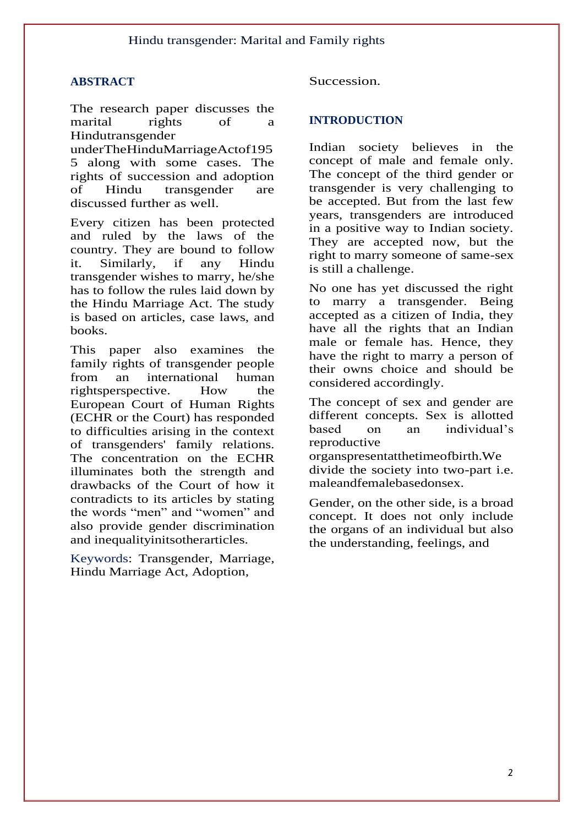# **ABSTRACT**

The research paper discusses the marital rights of a Hindutransgender

underTheHinduMarriageActof195 5 along with some cases. The rights of succession and adoption of Hindu transgender are discussed further as well.

Every citizen has been protected and ruled by the laws of the country. They are bound to follow it. Similarly, if any Hindu transgender wishes to marry, he/she has to follow the rules laid down by the Hindu Marriage Act. The study is based on articles, case laws, and books.

This paper also examines the family rights of transgender people from an international human rightsperspective. How the European Court of Human Rights (ECHR or the Court) has responded to difficulties arising in the context of transgenders' family relations. The concentration on the ECHR illuminates both the strength and drawbacks of the Court of how it contradicts to its articles by stating the words "men" and "women" and also provide gender discrimination and inequalityinitsotherarticles.

Keywords: Transgender, Marriage, Hindu Marriage Act, Adoption,

Succession.

# **INTRODUCTION**

Indian society believes in the concept of male and female only. The concept of the third gender or transgender is very challenging to be accepted. But from the last few years, transgenders are introduced in a positive way to Indian society. They are accepted now, but the right to marry someone of same-sex is still a challenge.

No one has yet discussed the right to marry a transgender. Being accepted as a citizen of India, they have all the rights that an Indian male or female has. Hence, they have the right to marry a person of their owns choice and should be considered accordingly.

The concept of sex and gender are different concepts. Sex is allotted based on an individual's reproductive

organspresentatthetimeofbirth.We divide the society into two-part i.e. maleandfemalebasedonsex.

Gender, on the other side, is a broad concept. It does not only include the organs of an individual but also the understanding, feelings, and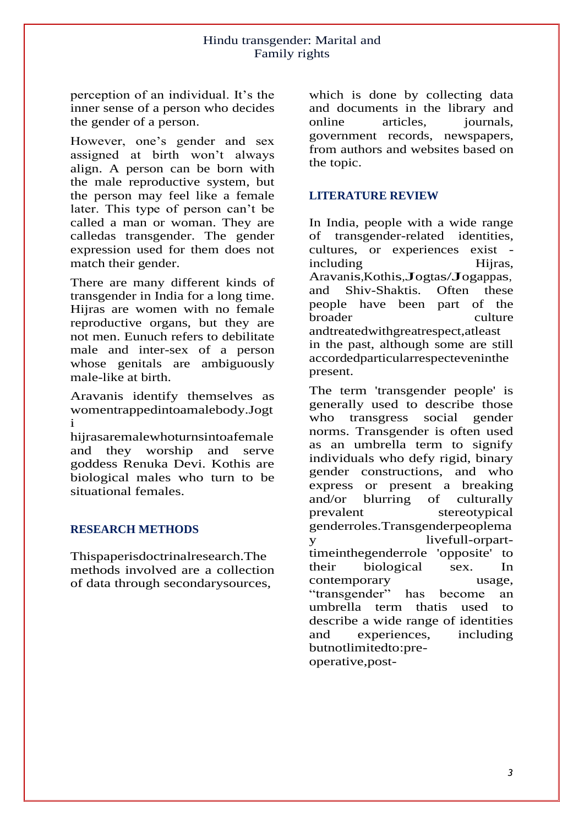perception of an individual. It's the inner sense of a person who decides the gender of a person.

However, one's gender and sex assigned at birth won't always align. A person can be born with the male reproductive system, but the person may feel like a female later. This type of person can't be called a man or woman. They are calledas transgender. The gender expression used for them does not match their gender.

There are many different kinds of transgender in India for a long time. Hijras are women with no female reproductive organs, but they are not men. Eunuch refers to debilitate male and inter-sex of a person whose genitals are ambiguously male-like at birth.

Aravanis identify themselves as womentrappedintoamalebody.Jogt i

hijrasaremalewhoturnsintoafemale and they worship and serve goddess Renuka Devi. Kothis are biological males who turn to be situational females.

#### **RESEARCH METHODS**

Thispaperisdoctrinalresearch.The methods involved are a collection of data through secondarysources,

which is done by collecting data and documents in the library and online articles, journals, government records, newspapers, from authors and websites based on the topic.

# **LITERATURE REVIEW**

In India, people with a wide range of transgender-related identities, cultures, or experiences exist including Hijras, Aravanis,Kothis,Jogtas/Jogappas,<br>and Shiv-Shaktis. Often these Shiv-Shaktis. people have been part of the broader culture andtreatedwithgreatrespect,atleast in the past, although some are still accordedparticularrespecteveninthe present.

The term 'transgender people' is generally used to describe those who transgress social gender norms. Transgender is often used as an umbrella term to signify individuals who defy rigid, binary gender constructions, and who express or present a breaking and/or blurring of culturally prevalent stereotypical genderroles.Transgenderpeoplema y livefull-orparttimeinthegenderrole 'opposite' to their biological sex. In contemporary usage, "transgender" has become an umbrella term thatis used to describe a wide range of identities and experiences, including butnotlimitedto:preoperative,post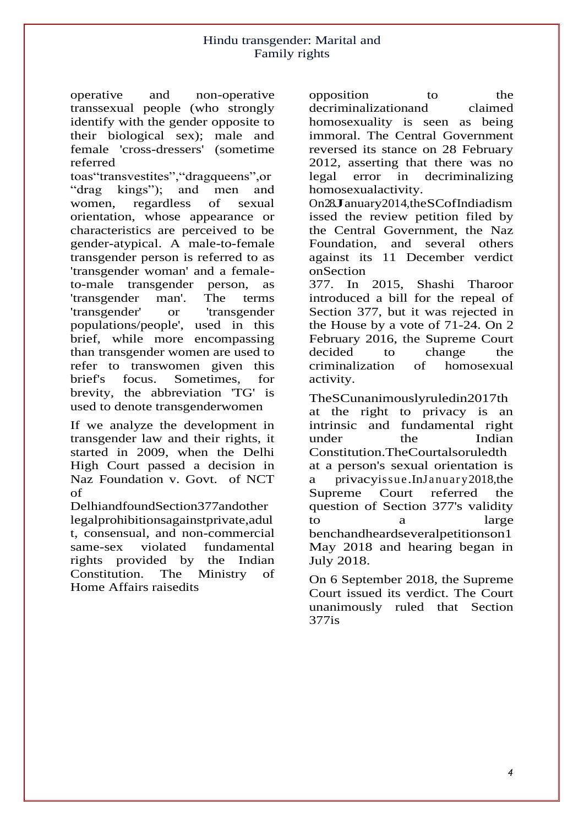operative and non-operative transsexual people (who strongly identify with the gender opposite to their biological sex); male and female 'cross-dressers' (sometime referred

toas"transvestites","dragqueens",or "drag kings"); and men and women, regardless of sexual orientation, whose appearance or characteristics are perceived to be gender-atypical. A male-to-female transgender person is referred to as 'transgender woman' and a femaleto-male transgender person, as 'transgender man'. The terms 'transgender' or 'transgender populations/people', used in this brief, while more encompassing than transgender women are used to refer to transwomen given this brief's focus. Sometimes, for brevity, the abbreviation 'TG' is used to denote transgenderwomen

If we analyze the development in transgender law and their rights, it started in 2009, when the Delhi High Court passed a decision in Naz Foundation v. Govt. of NCT of

DelhiandfoundSection377andother legalprohibitionsagainstprivate,adul t, consensual, and non-commercial same-sex violated fundamental rights provided by the Indian Constitution. The Ministry of Home Affairs raisedits

opposition to the decriminalizationand claimed homosexuality is seen as being immoral. The Central Government reversed its stance on 28 February 2012, asserting that there was no legal error in decriminalizing homosexualactivity.

On28January2014,theSCofIndiadism issed the review petition filed by the Central Government, the Naz Foundation, and several others against its 11 December verdict onSection

377. In 2015, Shashi Tharoor introduced a bill for the repeal of Section 377, but it was rejected in the House by a vote of 71-24. On 2 February 2016, the Supreme Court decided to change the criminalization of homosexual activity.

TheSCunanimouslyruledin2017th at the right to privacy is an intrinsic and fundamental right under the Indian Constitution.TheCourtalsoruledth at a person's sexual orientation is a privacyissue.InJanuar y2018,the Supreme Court referred the question of Section 377's validity to a large benchandheardseveralpetitionson1 May 2018 and hearing began in July 2018.

On 6 September 2018, the Supreme Court issued its verdict. The Court unanimously ruled that Section 377is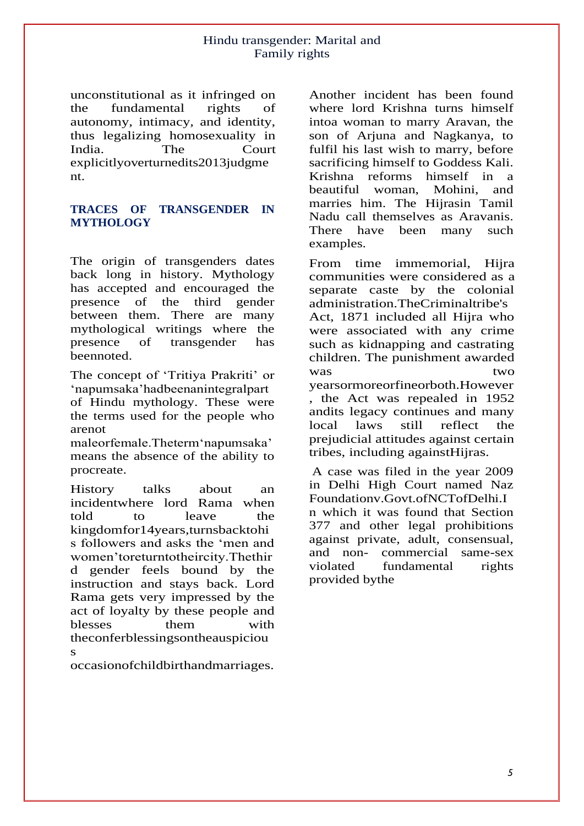unconstitutional as it infringed on the fundamental rights of autonomy, intimacy, and identity, thus legalizing homosexuality in India. The Court explicitlyoverturnedits2013judgme nt.

## **TRACES OF TRANSGENDER IN MYTHOLOGY**

The origin of transgenders dates back long in history. Mythology has accepted and encouraged the presence of the third gender between them. There are many mythological writings where the presence of transgender has beennoted.

The concept of 'Tritiya Prakriti' or 'napumsaka'hadbeenanintegralpart of Hindu mythology. These were the terms used for the people who arenot

maleorfemale.Theterm'napumsaka' means the absence of the ability to procreate.

History talks about an incidentwhere lord Rama when told to leave the kingdomfor14years,turnsbacktohi s followers and asks the 'men and women'toreturntotheircity.Thethir d gender feels bound by the instruction and stays back. Lord Rama gets very impressed by the act of loyalty by these people and blesses them with theconferblessingsontheauspiciou s

occasionofchildbirthandmarriages.

Another incident has been found where lord Krishna turns himself intoa woman to marry Aravan, the son of Arjuna and Nagkanya, to fulfil his last wish to marry, before sacrificing himself to Goddess Kali. Krishna reforms himself in a beautiful woman, Mohini, and marries him. The Hijrasin Tamil Nadu call themselves as Aravanis. There have been many such examples.

From time immemorial, Hijra communities were considered as a separate caste by the colonial administration.TheCriminaltribe's Act, 1871 included all Hijra who were associated with any crime such as kidnapping and castrating children. The punishment awarded was two yearsormoreorfineorboth.However , the Act was repealed in 1952 andits legacy continues and many local laws still reflect the prejudicial attitudes against certain tribes, including againstHijras.

A case was filed in the year 2009 in Delhi High Court named Naz Foundationv.Govt.ofNCTofDelhi.I n which it was found that Section 377 and other legal prohibitions against private, adult, consensual, and non- commercial same-sex violated fundamental rights provided bythe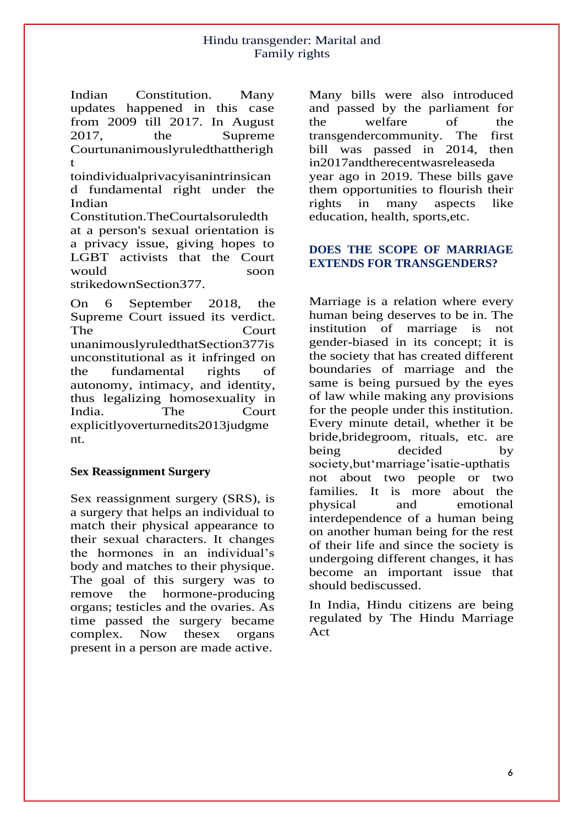Indian Constitution. Many updates happened in this case from 2009 till 2017. In August 2017, the Supreme Courtunanimouslyruledthattherigh t

toindividualprivacyisanintrinsican d fundamental right under the Indian

Constitution.TheCourtalsoruledth at a person's sexual orientation is a privacy issue, giving hopes to LGBT activists that the Court would soon strikedownSection377.

On 6 September 2018, the Supreme Court issued its verdict. The Court unanimouslyruledthatSection377is unconstitutional as it infringed on the fundamental rights of autonomy, intimacy, and identity, thus legalizing homosexuality in India. The Court explicitlyoverturnedits2013judgme nt.

#### **Sex Reassignment Surgery**

Sex reassignment surgery (SRS), is a surgery that helps an individual to match their physical appearance to their sexual characters. It changes the hormones in an individual's body and matches to their physique. The goal of this surgery was to remove the hormone-producing organs; testicles and the ovaries. As time passed the surgery became complex. Now thesex organs present in a person are made active.

Many bills were also introduced and passed by the parliament for the welfare of the transgendercommunity. The first bill was passed in 2014, then in2017andtherecentwasreleaseda year ago in 2019. These bills gave them opportunities to flourish their rights in many aspects like education, health, sports,etc.

## **DOES THE SCOPE OF MARRIAGE EXTENDS FOR TRANSGENDERS?**

Marriage is a relation where every human being deserves to be in. The institution of marriage is not gender-biased in its concept; it is the society that has created different boundaries of marriage and the same is being pursued by the eyes of law while making any provisions for the people under this institution. Every minute detail, whether it be bride,bridegroom, rituals, etc. are being decided by society,but'marriage'isatie-upthatis not about two people or two families. It is more about the physical and emotional interdependence of a human being on another human being for the rest of their life and since the society is undergoing different changes, it has become an important issue that should bediscussed.

In India, Hindu citizens are being regulated by The Hindu Marriage Act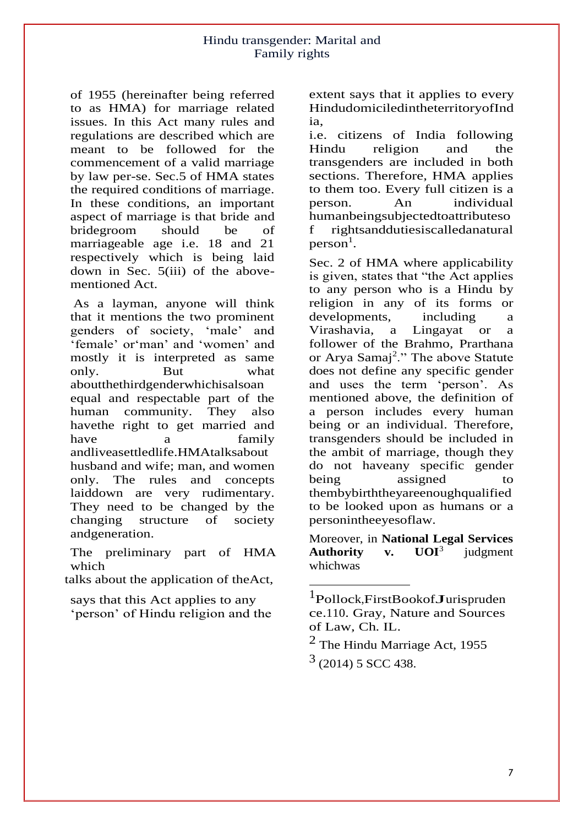of 1955 (hereinafter being referred to as HMA) for marriage related issues. In this Act many rules and regulations are described which are meant to be followed for the commencement of a valid marriage by law per-se. Sec.5 of HMA states the required conditions of marriage. In these conditions, an important aspect of marriage is that bride and bridegroom should be of marriageable age i.e. 18 and 21 respectively which is being laid down in Sec. 5(iii) of the abovementioned Act.

As a layman, anyone will think that it mentions the two prominent genders of society, 'male' and 'female' or'man' and 'women' and mostly it is interpreted as same only. But what aboutthethirdgenderwhichisalsoan equal and respectable part of the human community. They also havethe right to get married and have a family andliveasettledlife.HMAtalksabout husband and wife; man, and women only. The rules and concepts laiddown are very rudimentary. They need to be changed by the changing structure of society andgeneration.

The preliminary part of HMA which

talks about the application of theAct,

says that this Act applies to any 'person' of Hindu religion and the extent says that it applies to every HindudomiciledintheterritoryofInd ia,

i.e. citizens of India following Hindu religion and the transgenders are included in both sections. Therefore, HMA applies to them too. Every full citizen is a person. An individual humanbeingsubjectedtoattributeso f rightsanddutiesiscalledanatural  $person<sup>1</sup>$ .

Sec. 2 of HMA where applicability is given, states that "the Act applies to any person who is a Hindu by religion in any of its forms or developments, including a Virashavia, a Lingayat or a follower of the Brahmo, Prarthana or Arya Samaj<sup>2</sup>." The above Statute does not define any specific gender and uses the term 'person'. As mentioned above, the definition of a person includes every human being or an individual. Therefore, transgenders should be included in the ambit of marriage, though they do not haveany specific gender being assigned to thembybirththeyareenoughqualified to be looked upon as humans or a personintheeyesoflaw.

Moreover, in **National Legal Services Authority v. UOI**<sup>3</sup> judgment whichwas

<sup>1</sup> Pollock,FirstBookofJurispruden ce.110. Gray, Nature and Sources of Law, Ch. IL.

<sup>2</sup> The Hindu Marriage Act, 1955  $3(2014)$  5 SCC 438.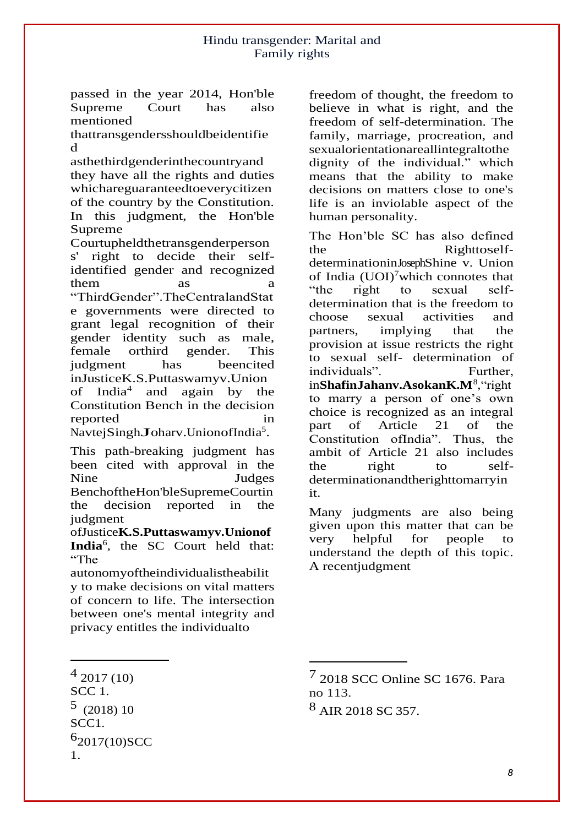passed in the year 2014, Hon'ble<br>Supreme Court has also Supreme Court has also mentioned

thattransgendersshouldbeidentifie d

asthethirdgenderinthecountryand they have all the rights and duties whichareguaranteedtoeverycitizen of the country by the Constitution. In this judgment, the Hon'ble Supreme

Courtupheldthetransgenderperson s' right to decide their selfidentified gender and recognized  $\lim$  as  $\lim$  a "ThirdGender".TheCentralandStat e governments were directed to grant legal recognition of their gender identity such as male, female orthird gender. This judgment has beencited inJusticeK.S.Puttaswamyv.Union of India<sup>4</sup> and again by the Constitution Bench in the decision reported in reported<br>NavtejSingh**J**oharv.UnionofIndia 5 .

This path-breaking judgment has been cited with approval in the Nine Judges BenchoftheHon'bleSupremeCourtin the decision reported in the judgment

ofJustice**K.S.Puttaswamyv.Unionof India**<sup>6</sup> , the SC Court held that: "The

autonomyoftheindividualistheabilit y to make decisions on vital matters of concern to life. The intersection between one's mental integrity and privacy entitles the individualto

SCC 1.  $5(2018)10$ SCC1. 6 2017(10)SCC 1.

freedom of thought, the freedom to believe in what is right, and the freedom of self-determination. The family, marriage, procreation, and sexualorientationareallintegraltothe dignity of the individual." which means that the ability to make decisions on matters close to one's life is an inviolable aspect of the human personality.

The Hon'ble SC has also defined the RighttoselfdeterminationinJosephShine v. Union of India  $(UO I)^7$  which connotes that "the right to sexual selfdetermination that is the freedom to choose sexual activities and partners, implying that the provision at issue restricts the right to sexual self- determination of individuals". Further, in**ShafinJahanv.AsokanK.M**<sup>8</sup>,"right to marry a person of one's own choice is recognized as an integral part of Article 21 of the Constitution ofIndia". Thus, the ambit of Article 21 also includes the right to selfdeterminationandtherighttomarryin it.

Many judgments are also being given upon this matter that can be very helpful for people to understand the depth of this topic. A recentjudgment

<sup>4 2017 (10)</sup> 

<sup>7 2018</sup> SCC Online SC 1676. Para no 113.

<sup>8</sup> AIR 2018 SC 357.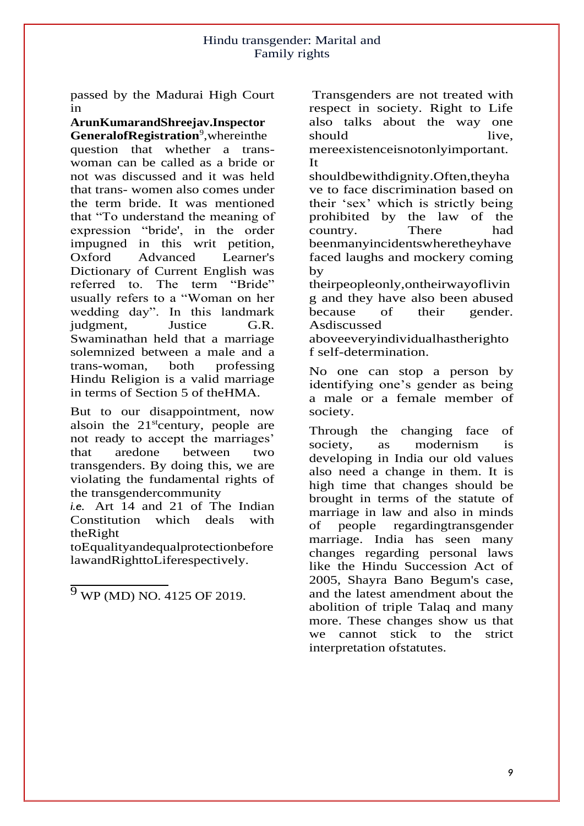passed by the Madurai High Court in

**ArunKumarandShreejav.Inspector** 

**GeneralofRegistration**<sup>9</sup> ,whereinthe question that whether a transwoman can be called as a bride or not was discussed and it was held that trans- women also comes under the term bride. It was mentioned that "To understand the meaning of expression "bride', in the order impugned in this writ petition, Oxford Advanced Learner's Dictionary of Current English was referred to. The term "Bride" usually refers to a "Woman on her wedding day". In this landmark judgment, Justice G.R. Swaminathan held that a marriage solemnized between a male and a trans-woman, both professing Hindu Religion is a valid marriage in terms of Section 5 of theHMA.

But to our disappointment, now alsoin the  $21<sup>st</sup>$ century, people are not ready to accept the marriages' that aredone between two transgenders. By doing this, we are violating the fundamental rights of the transgendercommunity

*i.e.* Art 14 and 21 of The Indian Constitution which deals with theRight

toEqualityandequalprotectionbefore lawandRighttoLiferespectively.

 $\frac{9 \text{ WP}(MD)}{9 \text{WP}(MD)}$  NO. 4125 OF 2019.

Transgenders are not treated with respect in society. Right to Life also talks about the way one should live, mereexistenceisnotonlyimportant. It

shouldbewithdignity.Often,theyha ve to face discrimination based on their 'sex' which is strictly being prohibited by the law of the country. There had beenmanyincidentswheretheyhave faced laughs and mockery coming by

theirpeopleonly,ontheirwayoflivin g and they have also been abused because of their gender. Asdiscussed

aboveeveryindividualhastherighto f self-determination.

No one can stop a person by identifying one's gender as being a male or a female member of society.

Through the changing face of society, as modernism is developing in India our old values also need a change in them. It is high time that changes should be brought in terms of the statute of marriage in law and also in minds of people regardingtransgender marriage. India has seen many changes regarding personal laws like the Hindu Succession Act of 2005, Shayra Bano Begum's case, and the latest amendment about the abolition of triple Talaq and many more. These changes show us that we cannot stick to the strict interpretation ofstatutes.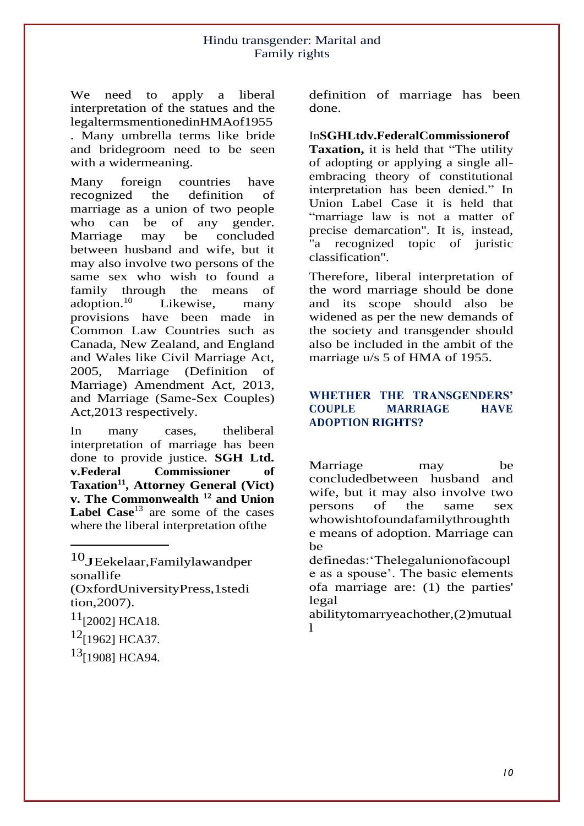We need to apply a liberal interpretation of the statues and the legaltermsmentionedinHMAof1955

. Many umbrella terms like bride and bridegroom need to be seen with a widermeaning.

Many foreign countries have recognized the definition of marriage as a union of two people who can be of any gender. Marriage may be concluded between husband and wife, but it may also involve two persons of the same sex who wish to found a family through the means of adoption. $10$  Likewise, many provisions have been made in Common Law Countries such as Canada, New Zealand, and England and Wales like Civil Marriage Act, 2005, Marriage (Definition of Marriage) Amendment Act, 2013, and Marriage (Same-Sex Couples) Act,2013 respectively.

In many cases, theliberal interpretation of marriage has been done to provide justice. **SGH Ltd. v.Federal Commissioner of Taxation<sup>11</sup> , Attorney General (Vict) v. The Commonwealth <sup>12</sup> and Union**  Label Case<sup>13</sup> are some of the cases where the liberal interpretation ofthe

10JEekelaar,Familylawandper sonallife (OxfordUniversityPress,1stedi tion,2007).  $11$ [2002] HCA18.  $12$ [1962] HCA37.

 $13$ [1908] HCA94.

definition of marriage has been done.

In**SGHLtdv.FederalCommissionerof Taxation,** it is held that "The utility of adopting or applying a single allembracing theory of constitutional interpretation has been denied." In Union Label Case it is held that "marriage law is not a matter of precise demarcation". It is, instead, "a recognized topic of juristic classification".

Therefore, liberal interpretation of the word marriage should be done and its scope should also be widened as per the new demands of the society and transgender should also be included in the ambit of the marriage u/s 5 of HMA of 1955.

# **WHETHER THE TRANSGENDERS' COUPLE MARRIAGE HAVE ADOPTION RIGHTS?**

Marriage may be concludedbetween husband and wife, but it may also involve two persons of the same sex whowishtofoundafamilythroughth e means of adoption. Marriage can be

definedas:'Thelegalunionofacoupl e as a spouse'. The basic elements ofa marriage are: (1) the parties' legal

abilitytomarryeachother,(2)mutual l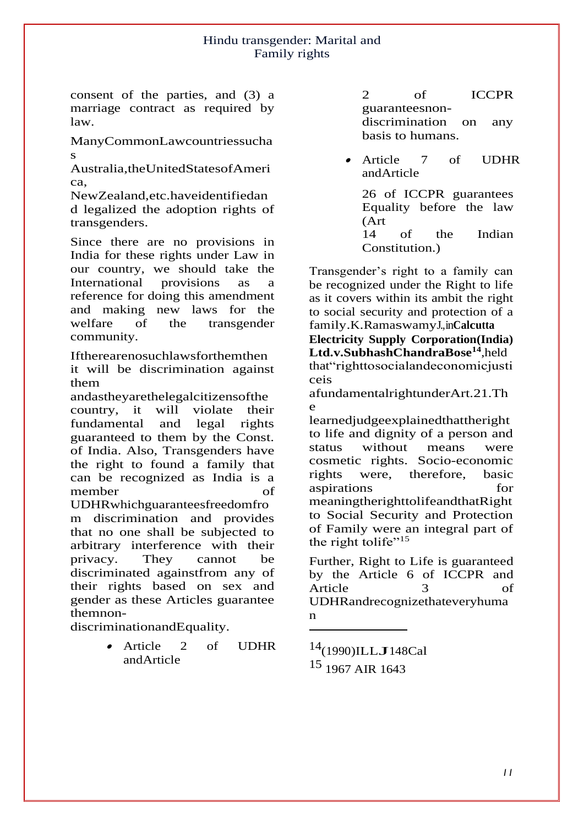consent of the parties, and (3) a marriage contract as required by law.

ManyCommonLawcountriessucha s

Australia,theUnitedStatesofAmeri ca,

NewZealand,etc.haveidentifiedan d legalized the adoption rights of transgenders.

Since there are no provisions in India for these rights under Law in our country, we should take the International provisions as a reference for doing this amendment and making new laws for the welfare of the transgender community.

Iftherearenosuchlawsforthemthen

it will be discrimination against them

andastheyarethelegalcitizensofthe country, it will violate their fundamental and legal rights guaranteed to them by the Const. of India. Also, Transgenders have the right to found a family that can be recognized as India is a member of UDHRwhichguaranteesfreedomfro m discrimination and provides that no one shall be subjected to

arbitrary interference with their privacy. They cannot be discriminated againstfrom any of their rights based on sex and gender as these Articles guarantee themnon-

discriminationandEquality.

 Article 2 of UDHR andArticle

2 of ICCPR guaranteesnondiscrimination on any basis to humans.

. Article 7 of UDHR andArticle

26 of ICCPR guarantees Equality before the law (Art 14 of the Indian Constitution.)

Transgender's right to a family can be recognized under the Right to life as it covers within its ambit the right to social security and protection of a family.K.RamaswamyJ.,in**Calcutta** 

**Electricity Supply Corporation(India)**  Ltd.v.SubhashChandraBose<sup>14</sup>,held that"righttosocialandeconomicjusti ceis

afundamentalrightunderArt.21.Th e

learnedjudgeexplainedthattheright to life and dignity of a person and status without means were cosmetic rights. Socio-economic rights were, therefore, basic aspirations for meaningtherighttolifeandthatRight to Social Security and Protection of Family were an integral part of the right to life"<sup>15</sup>

Further, Right to Life is guaranteed by the Article 6 of ICCPR and Article 3 of UDHRandrecognizethateveryhuma n

14(1990)ILLJ148Cal 15 1967 AIR 1643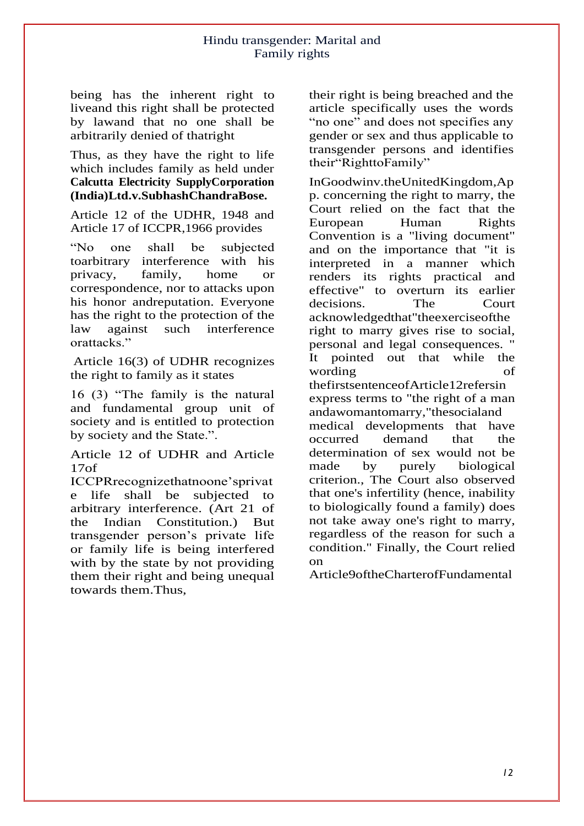being has the inherent right to liveand this right shall be protected by lawand that no one shall be arbitrarily denied of thatright

Thus, as they have the right to life which includes family as held under **Calcutta Electricity SupplyCorporation (India)Ltd.v.SubhashChandraBose.**

Article 12 of the UDHR, 1948 and Article 17 of ICCPR,1966 provides

"No one shall be subjected toarbitrary interference with his privacy, family, home or correspondence, nor to attacks upon his honor andreputation. Everyone has the right to the protection of the<br>law against such interference law against such interference orattacks."

Article 16(3) of UDHR recognizes the right to family as it states

16 (3) "The family is the natural and fundamental group unit of society and is entitled to protection by society and the State.".

Article 12 of UDHR and Article 17of

ICCPRrecognizethatnoone'sprivat e life shall be subjected to arbitrary interference. (Art 21 of the Indian Constitution.) But transgender person's private life or family life is being interfered with by the state by not providing them their right and being unequal towards them.Thus,

their right is being breached and the article specifically uses the words "no one" and does not specifies any gender or sex and thus applicable to transgender persons and identifies their"RighttoFamily"

InGoodwinv.theUnitedKingdom,Ap p. concerning the right to marry, the Court relied on the fact that the European Human Rights Convention is a "living document" and on the importance that "it is interpreted in a manner which renders its rights practical and effective" to overturn its earlier decisions. The Court acknowledgedthat"theexerciseofthe right to marry gives rise to social, personal and legal consequences. " It pointed out that while the wording of thefirstsentenceofArticle12refersin express terms to "the right of a man andawomantomarry,"thesocialand medical developments that have occurred demand that the determination of sex would not be made by purely biological criterion., The Court also observed that one's infertility (hence, inability to biologically found a family) does not take away one's right to marry, regardless of the reason for such a condition." Finally, the Court relied on

Article9oftheCharterofFundamental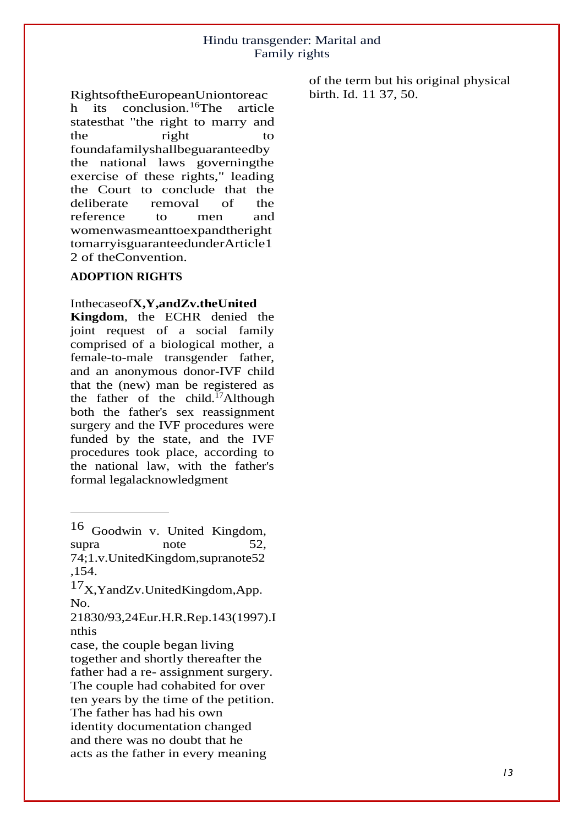RightsoftheEuropeanUniontoreac h its conclusion.<sup>16</sup>The article statesthat "the right to marry and the right to foundafamilyshallbeguaranteedby the national laws governingthe exercise of these rights," leading the Court to conclude that the deliberate removal of the reference to men and womenwasmeanttoexpandtheright tomarryisguaranteedunderArticle1 2 of theConvention.

#### **ADOPTION RIGHTS**

#### Inthecaseof**X,Y,andZv.theUnited**

**Kingdom**, the ECHR denied the joint request of a social family comprised of a biological mother, a female-to-male transgender father, and an anonymous donor-IVF child that the (new) man be registered as the father of the child.<sup>17</sup>Although both the father's sex reassignment surgery and the IVF procedures were funded by the state, and the IVF procedures took place, according to the national law, with the father's formal legalacknowledgment

of the term but his original physical birth. Id. 11 37, 50.

<sup>16</sup> Goodwin v. United Kingdom, supra note 52. 74;1.v.UnitedKingdom,supranote52 ,154.

<sup>17</sup>X,YandZv.UnitedKingdom,App. No.

<sup>21830/93,24</sup>Eur.H.R.Rep.143(1997).I nthis

case, the couple began living together and shortly thereafter the father had a re- assignment surgery. The couple had cohabited for over ten years by the time of the petition. The father has had his own identity documentation changed and there was no doubt that he acts as the father in every meaning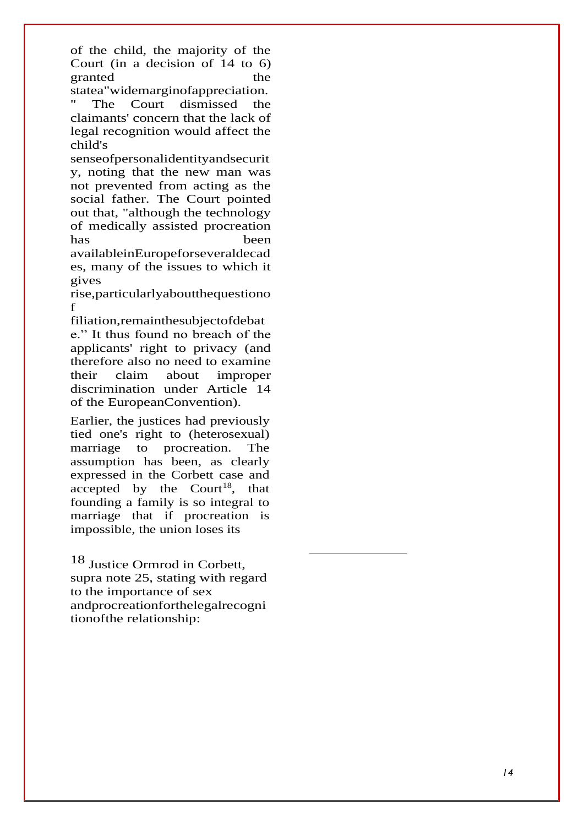of the child, the majority of the Court (in a decision of 14 to 6) granted the statea"widemarginofappreciation.

The Court dismissed the claimants' concern that the lack of legal recognition would affect the child's

senseofpersonalidentityandsecurit y, noting that the new man was not prevented from acting as the social father. The Court pointed out that, "although the technology of medically assisted procreation has been

availableinEuropeforseveraldecad es, many of the issues to which it gives

rise,particularlyaboutthequestiono f

filiation,remainthesubjectofdebat e." It thus found no breach of the applicants' right to privacy (and therefore also no need to examine their claim about improper discrimination under Article 14 of the EuropeanConvention).

Earlier, the justices had previously tied one's right to (heterosexual) marriage to procreation. The assumption has been, as clearly expressed in the Corbett case and accepted by the Court<sup>18</sup>, that founding a family is so integral to marriage that if procreation is impossible, the union loses its

18 Justice Ormrod in Corbett, supra note 25, stating with regard to the importance of sex andprocreationforthelegalrecogni tionofthe relationship: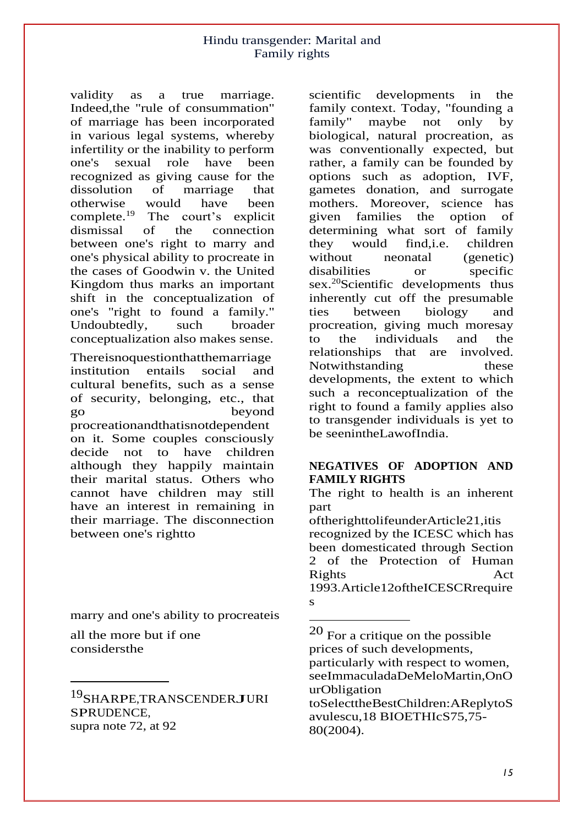validity as a true marriage. Indeed,the "rule of consummation" of marriage has been incorporated in various legal systems, whereby infertility or the inability to perform one's sexual role have been recognized as giving cause for the dissolution of marriage that otherwise would have been<br>complete.<sup>19</sup> The court's explicit The court's explicit dismissal of the connection between one's right to marry and one's physical ability to procreate in the cases of Goodwin v. the United Kingdom thus marks an important shift in the conceptualization of one's "right to found a family." Undoubtedly, such broader conceptualization also makes sense.

Thereisnoquestionthatthemarriage institution entails social and cultural benefits, such as a sense of security, belonging, etc., that go beyond procreationandthatisnotdependent on it. Some couples consciously decide not to have children although they happily maintain their marital status. Others who cannot have children may still have an interest in remaining in their marriage. The disconnection between one's rightto

marry and one's ability to procreateis

all the more but if one considersthe

19SHARPE,TRANSCENDERJURI SPRUDENCE, supra note 72, at 92

scientific developments in the family context. Today, "founding a family" maybe not only by biological, natural procreation, as was conventionally expected, but rather, a family can be founded by options such as adoption, IVF, gametes donation, and surrogate mothers. Moreover, science has given families the option of determining what sort of family they would find,i.e. children without neonatal (genetic) disabilities or specific sex.<sup>20</sup>Scientific developments thus inherently cut off the presumable ties between biology and procreation, giving much moresay to the individuals and the relationships that are involved. Notwithstanding these developments, the extent to which such a reconceptualization of the right to found a family applies also to transgender individuals is yet to be seenintheLawofIndia.

# **NEGATIVES OF ADOPTION AND FAMILY RIGHTS**

The right to health is an inherent part

oftherighttolifeunderArticle21,itis recognized by the ICESC which has been domesticated through Section 2 of the Protection of Human Rights Act 1993.Article12oftheICESCRrequire s

<sup>20</sup> For a critique on the possible prices of such developments, particularly with respect to women, seeImmaculadaDeMeloMartin,OnO urObligation toSelecttheBestChildren:AReplytoS avulescu,18 BIOETHIcS75,75-

<sup>80(2004).</sup>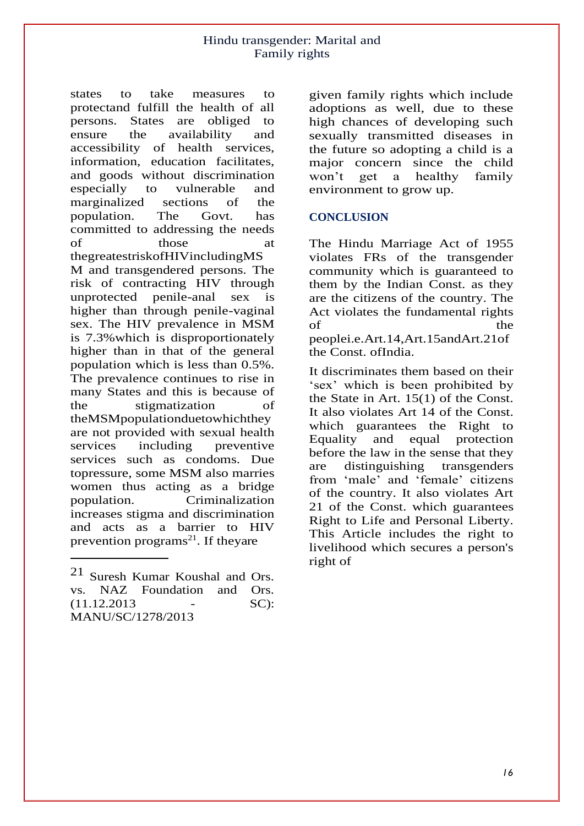states to take measures to protectand fulfill the health of all persons. States are obliged to ensure the availability and accessibility of health services, information, education facilitates, and goods without discrimination especially to vulnerable and marginalized sections of the population. The Govt. has committed to addressing the needs of those at thegreatestriskofHIVincludingMS M and transgendered persons. The risk of contracting HIV through unprotected penile-anal sex is higher than through penile-vaginal sex. The HIV prevalence in MSM is 7.3%which is disproportionately higher than in that of the general population which is less than 0.5%. The prevalence continues to rise in many States and this is because of the stigmatization of theMSMpopulationduetowhichthey are not provided with sexual health services including preventive services such as condoms. Due topressure, some MSM also marries women thus acting as a bridge population. Criminalization increases stigma and discrimination and acts as a barrier to HIV prevention programs<sup>21</sup>. If theyare

given family rights which include adoptions as well, due to these high chances of developing such sexually transmitted diseases in the future so adopting a child is a major concern since the child won't get a healthy family environment to grow up.

# **CONCLUSION**

The Hindu Marriage Act of 1955 violates FRs of the transgender community which is guaranteed to them by the Indian Const. as they are the citizens of the country. The Act violates the fundamental rights of the the state of the state  $\frac{1}{2}$ peoplei.e.Art.14,Art.15andArt.21of the Const. ofIndia.

It discriminates them based on their 'sex' which is been prohibited by the State in Art. 15(1) of the Const. It also violates Art 14 of the Const. which guarantees the Right to Equality and equal protection before the law in the sense that they are distinguishing transgenders from 'male' and 'female' citizens of the country. It also violates Art 21 of the Const. which guarantees Right to Life and Personal Liberty. This Article includes the right to livelihood which secures a person's right of

<sup>21</sup> Suresh Kumar Koushal and Ors. vs. NAZ Foundation and Ors. (11.12.2013 - SC): MANU/SC/1278/2013